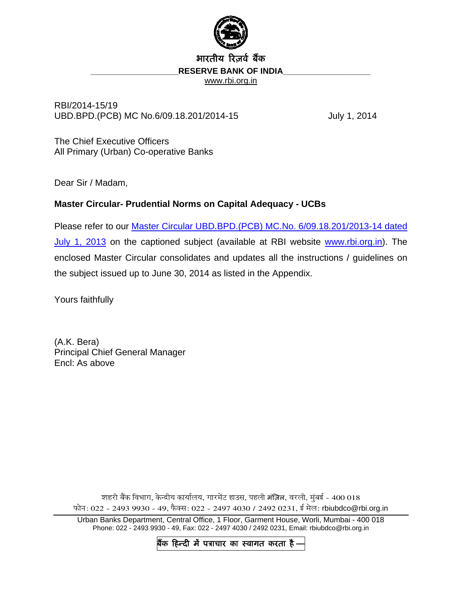

# भारतीय रिजर्व बैंक **RESERVE BANK OF INDIA** [www.rbi.org.in](http://www.rbi.org.in/)

RBI/2014-15/19 UBD.BPD.(PCB) MC No.6/09.18.201/2014-15 July 1, 2014

The Chief Executive Officers All Primary (Urban) Co-operative Banks

Dear Sir / Madam,

# **Master Circular- Prudential Norms on Capital Adequacy - UCBs**

Please refer to our [Master Circular UBD.BPD.\(PCB\) MC.No. 6/09.18.201/2013-14 dated](http://rbi.org.in/scripts/BS_ViewMasCirculardetails.aspx?id=8109)  [July 1, 2013](http://rbi.org.in/scripts/BS_ViewMasCirculardetails.aspx?id=8109) on the captioned subject (available at RBI website [www.rbi.org.in\)](http://www.rbi.org.in/). The enclosed Master Circular consolidates and updates all the instructions / guidelines on the subject issued up to June 30, 2014 as listed in the Appendix.

Yours faithfully

(A.K. Bera) Principal Chief General Manager Encl: As above

> शहरी बैंक विभाग, केन्द्रीय कार्यालय, गारमेंट हाउस, पहली मंज़िल, वरली, मुंबई - 400 018 फोन: 022 - 2493 9930 - 49, फैक्स: 022 - 2497 4030 / 2492 0231, ई मेल: rbiubdco@rbi.org.in

Urban Banks Department, Central Office, 1 Floor, Garment House, Worli, Mumbai - 400 018 Phone: 022 - 2493 9930 - 49, Fax: 022 - 2497 4030 / 2492 0231, Email: rbiubdco@rbi.org.in

बैंक हिन्दी में पत्राचार का स्वागत करता है <sub>:</sub>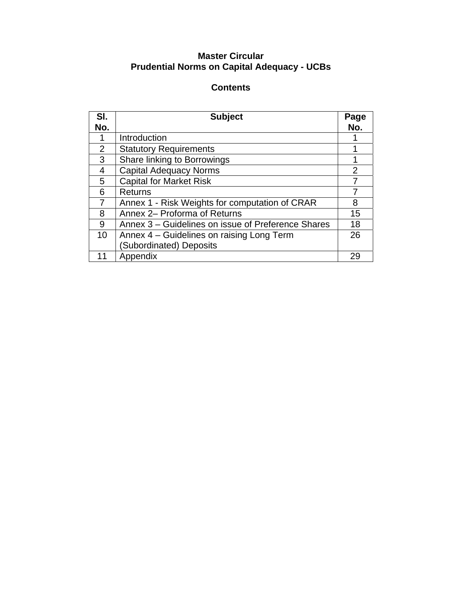# **Master Circular Prudential Norms on Capital Adequacy - UCBs**

# **Contents**

| SI. | <b>Subject</b>                                     | Page           |
|-----|----------------------------------------------------|----------------|
| No. |                                                    | No.            |
|     | Introduction                                       |                |
| 2   | <b>Statutory Requirements</b>                      |                |
| 3   | Share linking to Borrowings                        |                |
| 4   | <b>Capital Adequacy Norms</b>                      | $\overline{2}$ |
| 5   | <b>Capital for Market Risk</b>                     |                |
| 6   | <b>Returns</b>                                     |                |
| 7   | Annex 1 - Risk Weights for computation of CRAR     | 8              |
| 8   | Annex 2- Proforma of Returns                       | 15             |
| 9   | Annex 3 – Guidelines on issue of Preference Shares | 18             |
| 10  | Annex 4 – Guidelines on raising Long Term          | 26             |
|     | (Subordinated) Deposits                            |                |
| 11  | Appendix                                           | 29             |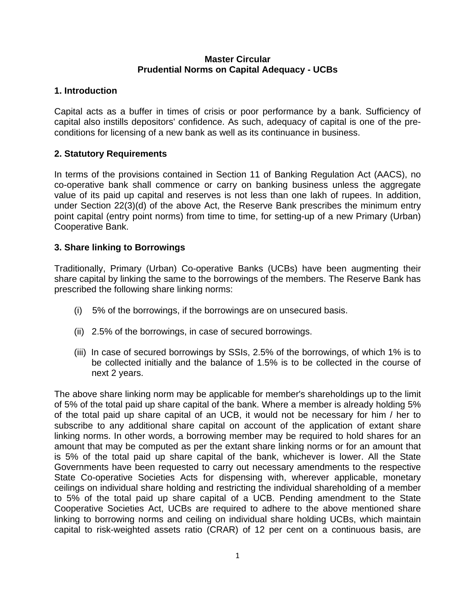# **Master Circular Prudential Norms on Capital Adequacy - UCBs**

# **1. Introduction**

Capital acts as a buffer in times of crisis or poor performance by a bank. Sufficiency of capital also instills depositors' confidence. As such, adequacy of capital is one of the preconditions for licensing of a new bank as well as its continuance in business.

# **2. Statutory Requirements**

In terms of the provisions contained in Section 11 of Banking Regulation Act (AACS), no co-operative bank shall commence or carry on banking business unless the aggregate value of its paid up capital and reserves is not less than one lakh of rupees. In addition, under Section 22(3)(d) of the above Act, the Reserve Bank prescribes the minimum entry point capital (entry point norms) from time to time, for setting-up of a new Primary (Urban) Cooperative Bank.

# **3. Share linking to Borrowings**

Traditionally, Primary (Urban) Co-operative Banks (UCBs) have been augmenting their share capital by linking the same to the borrowings of the members. The Reserve Bank has prescribed the following share linking norms:

- (i) 5% of the borrowings, if the borrowings are on unsecured basis.
- (ii) 2.5% of the borrowings, in case of secured borrowings.
- (iii) In case of secured borrowings by SSIs, 2.5% of the borrowings, of which 1% is to be collected initially and the balance of 1.5% is to be collected in the course of next 2 years.

The above share linking norm may be applicable for member's shareholdings up to the limit of 5% of the total paid up share capital of the bank. Where a member is already holding 5% of the total paid up share capital of an UCB, it would not be necessary for him / her to subscribe to any additional share capital on account of the application of extant share linking norms. In other words, a borrowing member may be required to hold shares for an amount that may be computed as per the extant share linking norms or for an amount that is 5% of the total paid up share capital of the bank, whichever is lower. All the State Governments have been requested to carry out necessary amendments to the respective State Co-operative Societies Acts for dispensing with, wherever applicable, monetary ceilings on individual share holding and restricting the individual shareholding of a member to 5% of the total paid up share capital of a UCB. Pending amendment to the State Cooperative Societies Act, UCBs are required to adhere to the above mentioned share linking to borrowing norms and ceiling on individual share holding UCBs, which maintain capital to risk-weighted assets ratio (CRAR) of 12 per cent on a continuous basis, are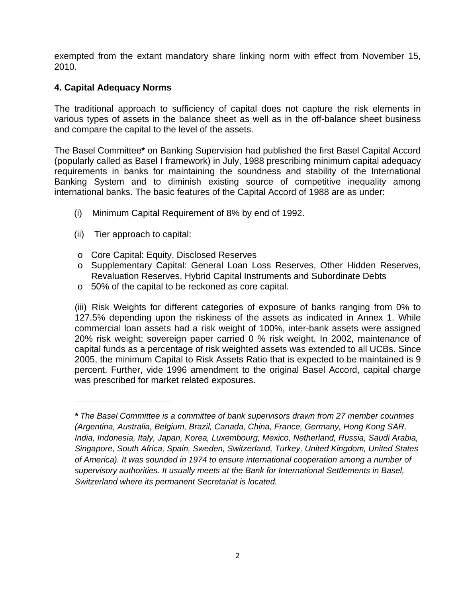exempted from the extant mandatory share linking norm with effect from November 15, 2010.

# **4. Capital Adequacy Norms**

The traditional approach to sufficiency of capital does not capture the risk elements in various types of assets in the balance sheet as well as in the off-balance sheet business and compare the capital to the level of the assets.

The Basel Committee**\*** on Banking Supervision had published the first Basel Capital Accord (popularly called as Basel I framework) in July, 1988 prescribing minimum capital adequacy requirements in banks for maintaining the soundness and stability of the International Banking System and to diminish existing source of competitive inequality among international banks. The basic features of the Capital Accord of 1988 are as under:

- (i) Minimum Capital Requirement of 8% by end of 1992.
- (ii) Tier approach to capital:

**\_\_\_\_\_\_\_\_\_\_\_\_\_\_\_\_\_\_\_** 

- o Core Capital: Equity, Disclosed Reserves
- o Supplementary Capital: General Loan Loss Reserves, Other Hidden Reserves, Revaluation Reserves, Hybrid Capital Instruments and Subordinate Debts
- o 50% of the capital to be reckoned as core capital.

(iii) Risk Weights for different categories of exposure of banks ranging from 0% to 127.5% depending upon the riskiness of the assets as indicated in Annex 1. While commercial loan assets had a risk weight of 100%, inter-bank assets were assigned 20% risk weight; sovereign paper carried 0 % risk weight. In 2002, maintenance of capital funds as a percentage of risk weighted assets was extended to all UCBs. Since 2005, the minimum Capital to Risk Assets Ratio that is expected to be maintained is 9 percent. Further, vide 1996 amendment to the original Basel Accord, capital charge was prescribed for market related exposures.

*<sup>\*</sup> The Basel Committee is a committee of bank supervisors drawn from 27 member countries (Argentina, Australia, Belgium, Brazil, Canada, China, France, Germany, Hong Kong SAR, India, Indonesia, Italy, Japan, Korea, Luxembourg, Mexico, Netherland, Russia, Saudi Arabia, Singapore, South Africa, Spain, Sweden, Switzerland, Turkey, United Kingdom, United States of America). It was sounded in 1974 to ensure international cooperation among a number of supervisory authorities. It usually meets at the Bank for International Settlements in Basel, Switzerland where its permanent Secretariat is located.*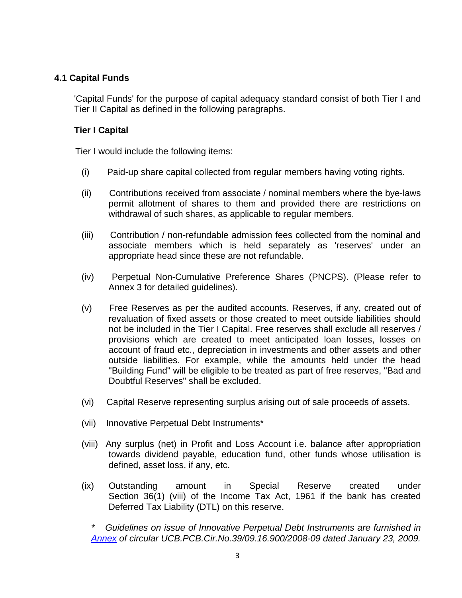# **4.1 Capital Funds**

'Capital Funds' for the purpose of capital adequacy standard consist of both Tier I and Tier II Capital as defined in the following paragraphs.

# **Tier I Capital**

Tier I would include the following items:

- (i) Paid-up share capital collected from regular members having voting rights.
- (ii) Contributions received from associate / nominal members where the bye-laws permit allotment of shares to them and provided there are restrictions on withdrawal of such shares, as applicable to regular members.
- (iii) Contribution / non-refundable admission fees collected from the nominal and associate members which is held separately as 'reserves' under an appropriate head since these are not refundable.
- (iv) Perpetual Non-Cumulative Preference Shares (PNCPS). (Please refer to Annex 3 for detailed guidelines).
- (v) Free Reserves as per the audited accounts. Reserves, if any, created out of revaluation of fixed assets or those created to meet outside liabilities should not be included in the Tier I Capital. Free reserves shall exclude all reserves / provisions which are created to meet anticipated loan losses, losses on account of fraud etc., depreciation in investments and other assets and other outside liabilities. For example, while the amounts held under the head "Building Fund" will be eligible to be treated as part of free reserves, "Bad and Doubtful Reserves" shall be excluded.
- (vi) Capital Reserve representing surplus arising out of sale proceeds of assets.
- (vii) Innovative Perpetual Debt Instruments\*
- (viii) Any surplus (net) in Profit and Loss Account i.e. balance after appropriation towards dividend payable, education fund, other funds whose utilisation is defined, asset loss, if any, etc.
- (ix) Outstanding amount in Special Reserve created under Section 36(1) (viii) of the Income Tax Act, 1961 if the bank has created Deferred Tax Liability (DTL) on this reserve.

*\* Guidelines on issue of Innovative Perpetual Debt Instruments are furnished in [Annex](http://rbi.org.in/scripts/NotificationUser.aspx?Id=4782&Mode=0#one) of [circular UCB.PCB.Cir.No.39/09.16.900/2008-09 dated January 23, 2009](http://rbi.org.in/scripts/NotificationUser.aspx?Id=4782&Mode=0).*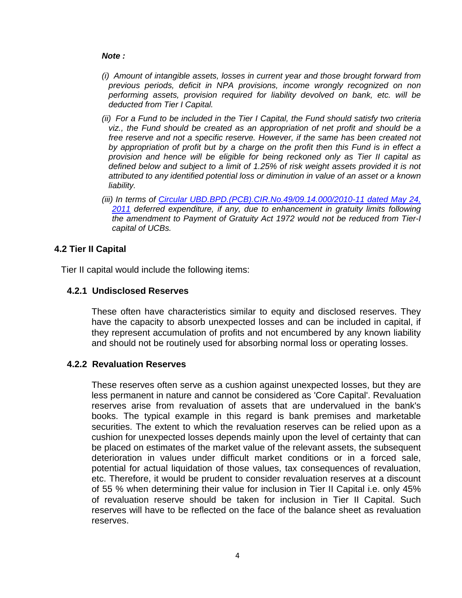#### *Note :*

- *(i) Amount of intangible assets, losses in current year and those brought forward from previous periods, deficit in NPA provisions, income wrongly recognized on non performing assets, provision required for liability devolved on bank, etc. will be deducted from Tier I Capital.*
- *(ii) For a Fund to be included in the Tier I Capital, the Fund should satisfy two criteria viz., the Fund should be created as an appropriation of net profit and should be a*  free reserve and not a specific reserve. However, if the same has been created not *by appropriation of profit but by a charge on the profit then this Fund is in effect a provision and hence will be eligible for being reckoned only as Tier II capital as defined below and subject to a limit of 1.25% of risk weight assets provided it is not attributed to any identified potential loss or diminution in value of an asset or a known liability.*
- *(iii) In terms of [Circular UBD.BPD.\(PCB\).CIR.No.49/09.14.000/2010-11 dated May 24,](http://rbi.org.in/scripts/NotificationUser.aspx?Id=6434&Mode=0)  [2011](http://rbi.org.in/scripts/NotificationUser.aspx?Id=6434&Mode=0) deferred expenditure, if any, due to enhancement in gratuity limits following the amendment to Payment of Gratuity Act 1972 would not be reduced from Tier-I capital of UCBs.*

# **4.2 Tier II Capital**

Tier II capital would include the following items:

# **4.2.1 Undisclosed Reserves**

 These often have characteristics similar to equity and disclosed reserves. They have the capacity to absorb unexpected losses and can be included in capital, if they represent accumulation of profits and not encumbered by any known liability and should not be routinely used for absorbing normal loss or operating losses.

# **4.2.2 Revaluation Reserves**

 These reserves often serve as a cushion against unexpected losses, but they are less permanent in nature and cannot be considered as 'Core Capital'. Revaluation reserves arise from revaluation of assets that are undervalued in the bank's books. The typical example in this regard is bank premises and marketable securities. The extent to which the revaluation reserves can be relied upon as a cushion for unexpected losses depends mainly upon the level of certainty that can be placed on estimates of the market value of the relevant assets, the subsequent deterioration in values under difficult market conditions or in a forced sale, potential for actual liquidation of those values, tax consequences of revaluation, etc. Therefore, it would be prudent to consider revaluation reserves at a discount of 55 % when determining their value for inclusion in Tier II Capital i.e. only 45% of revaluation reserve should be taken for inclusion in Tier II Capital. Such reserves will have to be reflected on the face of the balance sheet as revaluation reserves.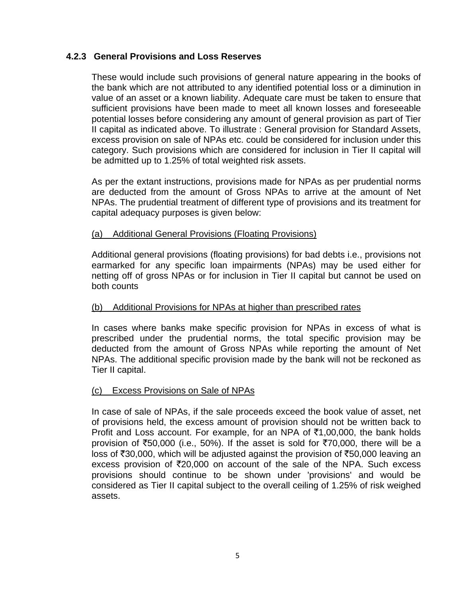# **4.2.3 General Provisions and Loss Reserves**

 These would include such provisions of general nature appearing in the books of the bank which are not attributed to any identified potential loss or a diminution in value of an asset or a known liability. Adequate care must be taken to ensure that sufficient provisions have been made to meet all known losses and foreseeable potential losses before considering any amount of general provision as part of Tier II capital as indicated above. To illustrate : General provision for Standard Assets, excess provision on sale of NPAs etc. could be considered for inclusion under this category. Such provisions which are considered for inclusion in Tier II capital will be admitted up to 1.25% of total weighted risk assets.

As per the extant instructions, provisions made for NPAs as per prudential norms are deducted from the amount of Gross NPAs to arrive at the amount of Net NPAs. The prudential treatment of different type of provisions and its treatment for capital adequacy purposes is given below:

# (a) Additional General Provisions (Floating Provisions)

Additional general provisions (floating provisions) for bad debts i.e., provisions not earmarked for any specific loan impairments (NPAs) may be used either for netting off of gross NPAs or for inclusion in Tier II capital but cannot be used on both counts

# (b) Additional Provisions for NPAs at higher than prescribed rates

In cases where banks make specific provision for NPAs in excess of what is prescribed under the prudential norms, the total specific provision may be deducted from the amount of Gross NPAs while reporting the amount of Net NPAs. The additional specific provision made by the bank will not be reckoned as Tier II capital.

# (c) Excess Provisions on Sale of NPAs

In case of sale of NPAs, if the sale proceeds exceed the book value of asset, net of provisions held, the excess amount of provision should not be written back to Profit and Loss account. For example, for an NPA of  $\bar{\tau}1,00,000$ , the bank holds provision of  $\overline{50,000}$  (i.e., 50%). If the asset is sold for  $\overline{570,000}$ , there will be a loss of  $\overline{530,000}$ , which will be adjusted against the provision of  $\overline{550,000}$  leaving an excess provision of  $\overline{5}20,000$  on account of the sale of the NPA. Such excess provisions should continue to be shown under 'provisions' and would be considered as Tier II capital subject to the overall ceiling of 1.25% of risk weighed assets.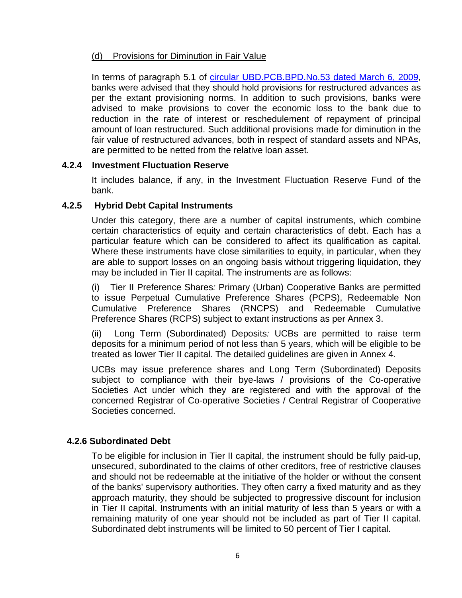# (d) Provisions for Diminution in Fair Value

In terms of paragraph 5.1 of [circular UBD.PCB.BPD.No.53 dated March 6, 2009,](http://www.rbi.org.in/scripts/NotificationUser.aspx?Id=4883&Mode=0) banks were advised that they should hold provisions for restructured advances as per the extant provisioning norms. In addition to such provisions, banks were advised to make provisions to cover the economic loss to the bank due to reduction in the rate of interest or reschedulement of repayment of principal amount of loan restructured. Such additional provisions made for diminution in the fair value of restructured advances, both in respect of standard assets and NPAs, are permitted to be netted from the relative loan asset.

#### **4.2.4 Investment Fluctuation Reserve**

 It includes balance, if any, in the Investment Fluctuation Reserve Fund of the bank.

#### **4.2.5 Hybrid Debt Capital Instruments**

 Under this category, there are a number of capital instruments, which combine certain characteristics of equity and certain characteristics of debt. Each has a particular feature which can be considered to affect its qualification as capital. Where these instruments have close similarities to equity, in particular, when they are able to support losses on an ongoing basis without triggering liquidation, they may be included in Tier II capital. The instruments are as follows:

(i) Tier II Preference Shares*:* Primary (Urban) Cooperative Banks are permitted to issue Perpetual Cumulative Preference Shares (PCPS), Redeemable Non Cumulative Preference Shares (RNCPS) and Redeemable Cumulative Preference Shares (RCPS) subject to extant instructions as per [Annex 3.](http://172.16.3.15/kmt/GetDocument.asp?PageRef=regulator/rbi/ubd/rbi601-07-2010.htm#ann3)

(ii) Long Term (Subordinated) Deposits*:* UCBs are permitted to raise term deposits for a minimum period of not less than 5 years, which will be eligible to be treated as lower Tier II capital. The detailed guidelines are given in [Annex 4.](http://172.16.3.15/kmt/GetDocument.asp?PageRef=regulator/rbi/ubd/rbi601-07-2010.htm#ann4)

UCBs may issue preference shares and Long Term (Subordinated) Deposits subject to compliance with their bye-laws / provisions of the Co-operative Societies Act under which they are registered and with the approval of the concerned Registrar of Co-operative Societies / Central Registrar of Cooperative Societies concerned.

# **4.2.6 Subordinated Debt**

 To be eligible for inclusion in Tier II capital, the instrument should be fully paid-up, unsecured, subordinated to the claims of other creditors, free of restrictive clauses and should not be redeemable at the initiative of the holder or without the consent of the banks' supervisory authorities. They often carry a fixed maturity and as they approach maturity, they should be subjected to progressive discount for inclusion in Tier II capital. Instruments with an initial maturity of less than 5 years or with a remaining maturity of one year should not be included as part of Tier II capital. Subordinated debt instruments will be limited to 50 percent of Tier I capital.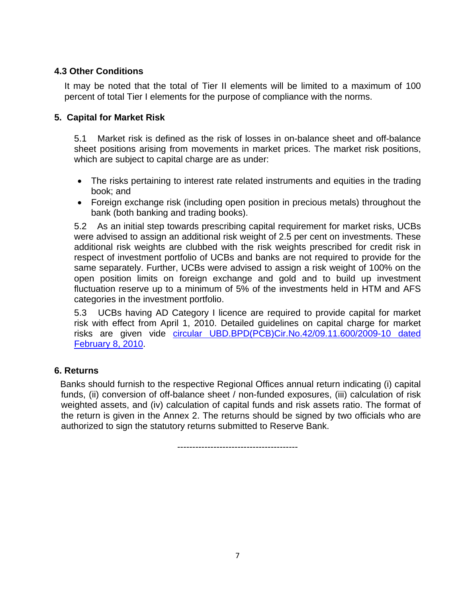# **4.3 Other Conditions**

It may be noted that the total of Tier II elements will be limited to a maximum of 100 percent of total Tier I elements for the purpose of compliance with the norms.

# **5. Capital for Market Risk**

5.1 Market risk is defined as the risk of losses in on-balance sheet and off-balance sheet positions arising from movements in market prices. The market risk positions, which are subject to capital charge are as under:

- The risks pertaining to interest rate related instruments and equities in the trading book; and
- Foreign exchange risk (including open position in precious metals) throughout the bank (both banking and trading books).

5.2 As an initial step towards prescribing capital requirement for market risks, UCBs were advised to assign an additional risk weight of 2.5 per cent on investments. These additional risk weights are clubbed with the risk weights prescribed for credit risk in respect of investment portfolio of UCBs and banks are not required to provide for the same separately. Further, UCBs were advised to assign a risk weight of 100% on the open position limits on foreign exchange and gold and to build up investment fluctuation reserve up to a minimum of 5% of the investments held in HTM and AFS categories in the investment portfolio.

5.3 UCBs having AD Category I licence are required to provide capital for market risk with effect from April 1, 2010. Detailed guidelines on capital charge for market risks are given vide [circular UBD.BPD\(PCB\)Cir.No.42/09.11.600/2009-10 dated](http://www.rbi.org.in/scripts/NotificationUser.aspx?Id=5495&Mode=0)  [February 8, 2010.](http://www.rbi.org.in/scripts/NotificationUser.aspx?Id=5495&Mode=0)

# **6. Returns**

 Banks should furnish to the respective Regional Offices annual return indicating (i) capital funds, (ii) conversion of off-balance sheet / non-funded exposures, (iii) calculation of risk weighted assets, and (iv) calculation of capital funds and risk assets ratio. The format of the return is given in the Annex 2. The returns should be signed by two officials who are authorized to sign the statutory returns submitted to Reserve Bank.

----------------------------------------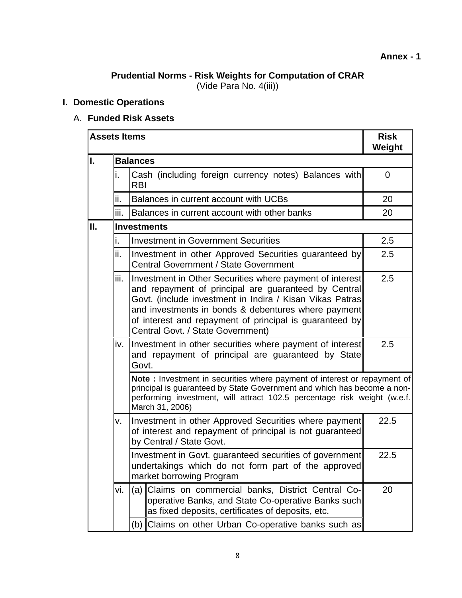# **Prudential Norms - Risk Weights for Computation of CRAR**

(Vide Para No. 4(iii))

# **I. Domestic Operations**

# A. **Funded Risk Assets**

|    | <b>Assets Items</b> |                                                                                                                                                                                                                                                                                                                                     |                                                                                                                                                                                                                                                    | <b>Risk</b><br>Weight |  |  |  |
|----|---------------------|-------------------------------------------------------------------------------------------------------------------------------------------------------------------------------------------------------------------------------------------------------------------------------------------------------------------------------------|----------------------------------------------------------------------------------------------------------------------------------------------------------------------------------------------------------------------------------------------------|-----------------------|--|--|--|
| I. |                     | <b>Balances</b>                                                                                                                                                                                                                                                                                                                     |                                                                                                                                                                                                                                                    |                       |  |  |  |
|    | i.                  | Cash (including foreign currency notes) Balances with<br><b>RBI</b>                                                                                                                                                                                                                                                                 |                                                                                                                                                                                                                                                    |                       |  |  |  |
|    | ii.                 |                                                                                                                                                                                                                                                                                                                                     | Balances in current account with UCBs                                                                                                                                                                                                              | 20                    |  |  |  |
|    | iii.                |                                                                                                                                                                                                                                                                                                                                     | Balances in current account with other banks                                                                                                                                                                                                       | 20                    |  |  |  |
| Ш. |                     |                                                                                                                                                                                                                                                                                                                                     | <b>Investments</b>                                                                                                                                                                                                                                 |                       |  |  |  |
|    | i.                  |                                                                                                                                                                                                                                                                                                                                     | <b>Investment in Government Securities</b>                                                                                                                                                                                                         | 2.5                   |  |  |  |
|    | ii.                 |                                                                                                                                                                                                                                                                                                                                     | Investment in other Approved Securities guaranteed by<br><b>Central Government / State Government</b>                                                                                                                                              | $2.5\,$               |  |  |  |
|    | iii.                | Investment in Other Securities where payment of interest<br>and repayment of principal are quaranteed by Central<br>Govt. (include investment in Indira / Kisan Vikas Patras<br>and investments in bonds & debentures where payment<br>of interest and repayment of principal is guaranteed by<br>Central Govt. / State Government) | 2.5                                                                                                                                                                                                                                                |                       |  |  |  |
|    | iv.                 | Investment in other securities where payment of interest<br>and repayment of principal are guaranteed by State<br>Govt.                                                                                                                                                                                                             |                                                                                                                                                                                                                                                    |                       |  |  |  |
|    |                     |                                                                                                                                                                                                                                                                                                                                     | Note: Investment in securities where payment of interest or repayment of<br>principal is guaranteed by State Government and which has become a non-<br>performing investment, will attract 102.5 percentage risk weight (w.e.f.<br>March 31, 2006) |                       |  |  |  |
|    | v.                  |                                                                                                                                                                                                                                                                                                                                     | Investment in other Approved Securities where payment<br>of interest and repayment of principal is not guaranteed<br>by Central / State Govt.                                                                                                      | 22.5                  |  |  |  |
|    |                     | Investment in Govt. guaranteed securities of government<br>undertakings which do not form part of the approved<br>market borrowing Program                                                                                                                                                                                          |                                                                                                                                                                                                                                                    |                       |  |  |  |
|    | vi.                 | (a) l                                                                                                                                                                                                                                                                                                                               | Claims on commercial banks, District Central Co-<br>operative Banks, and State Co-operative Banks such<br>as fixed deposits, certificates of deposits, etc.                                                                                        | 20                    |  |  |  |
|    |                     |                                                                                                                                                                                                                                                                                                                                     | (b) Claims on other Urban Co-operative banks such as                                                                                                                                                                                               |                       |  |  |  |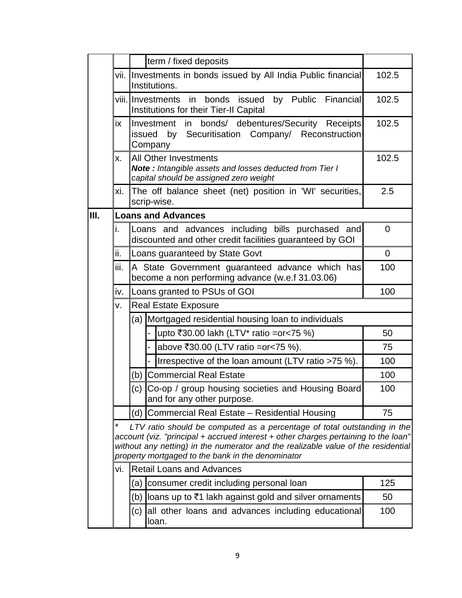|    | term / fixed deposits                                                                                                                                                                                                                                                                                     |                                  |                                                                                                                                   |             |  |  |  |
|----|-----------------------------------------------------------------------------------------------------------------------------------------------------------------------------------------------------------------------------------------------------------------------------------------------------------|----------------------------------|-----------------------------------------------------------------------------------------------------------------------------------|-------------|--|--|--|
|    |                                                                                                                                                                                                                                                                                                           |                                  | vii. Investments in bonds issued by All India Public financial<br>Institutions.                                                   | 102.5       |  |  |  |
|    |                                                                                                                                                                                                                                                                                                           |                                  | viii.lInvestments<br>bonds<br>issued<br>by Public<br>Financial<br>in<br>Institutions for their Tier-II Capital                    | 102.5       |  |  |  |
|    | in bonds/ debentures/Security Receipts<br>ix<br>Investment<br>issued by Securitisation Company/ Reconstruction<br>Company                                                                                                                                                                                 |                                  |                                                                                                                                   |             |  |  |  |
|    | X.                                                                                                                                                                                                                                                                                                        |                                  | All Other Investments<br><b>Note:</b> Intangible assets and losses deducted from Tier I<br>capital should be assigned zero weight | 102.5       |  |  |  |
|    | хi.                                                                                                                                                                                                                                                                                                       |                                  | The off balance sheet (net) position in 'WI' securities,<br>scrip-wise.                                                           | 2.5         |  |  |  |
| Ш. |                                                                                                                                                                                                                                                                                                           |                                  | <b>Loans and Advances</b>                                                                                                         |             |  |  |  |
|    | i.                                                                                                                                                                                                                                                                                                        |                                  | Loans and advances including bills purchased and<br>discounted and other credit facilities guaranteed by GOI                      | $\Omega$    |  |  |  |
|    | ii.                                                                                                                                                                                                                                                                                                       |                                  | Loans guaranteed by State Govt                                                                                                    | $\mathbf 0$ |  |  |  |
|    | iii.<br>A State Government guaranteed advance which has<br>become a non performing advance (w.e.f 31.03.06)                                                                                                                                                                                               |                                  |                                                                                                                                   |             |  |  |  |
|    | Loans granted to PSUs of GOI<br>iv.                                                                                                                                                                                                                                                                       |                                  |                                                                                                                                   |             |  |  |  |
|    | v.                                                                                                                                                                                                                                                                                                        | <b>Real Estate Exposure</b>      |                                                                                                                                   |             |  |  |  |
|    |                                                                                                                                                                                                                                                                                                           | (a)                              |                                                                                                                                   |             |  |  |  |
|    | upto ₹30.00 lakh (LTV* ratio = or < 75 %)                                                                                                                                                                                                                                                                 |                                  |                                                                                                                                   |             |  |  |  |
|    | above ₹30.00 (LTV ratio = or < 75 %).                                                                                                                                                                                                                                                                     |                                  |                                                                                                                                   |             |  |  |  |
|    |                                                                                                                                                                                                                                                                                                           |                                  | Irrespective of the loan amount (LTV ratio >75 %).                                                                                | 100         |  |  |  |
|    |                                                                                                                                                                                                                                                                                                           | (b)                              | <b>Commercial Real Estate</b>                                                                                                     | 100         |  |  |  |
|    | (c) Co-op / group housing societies and Housing Board<br>and for any other purpose.                                                                                                                                                                                                                       |                                  |                                                                                                                                   |             |  |  |  |
|    | Commercial Real Estate - Residential Housing<br>(d)                                                                                                                                                                                                                                                       |                                  |                                                                                                                                   |             |  |  |  |
|    | LTV ratio should be computed as a percentage of total outstanding in the<br>account (viz. "principal + accrued interest + other charges pertaining to the loan"<br>without any netting) in the numerator and the realizable value of the residential<br>property mortgaged to the bank in the denominator |                                  |                                                                                                                                   |             |  |  |  |
|    | vi.                                                                                                                                                                                                                                                                                                       | <b>Retail Loans and Advances</b> |                                                                                                                                   |             |  |  |  |
|    | consumer credit including personal loan<br>(a)                                                                                                                                                                                                                                                            |                                  |                                                                                                                                   |             |  |  |  |
|    |                                                                                                                                                                                                                                                                                                           | (b)                              | loans up to ₹1 lakh against gold and silver ornaments                                                                             | 50          |  |  |  |
|    |                                                                                                                                                                                                                                                                                                           | (c)                              | all other loans and advances including educational<br>loan.                                                                       | 100         |  |  |  |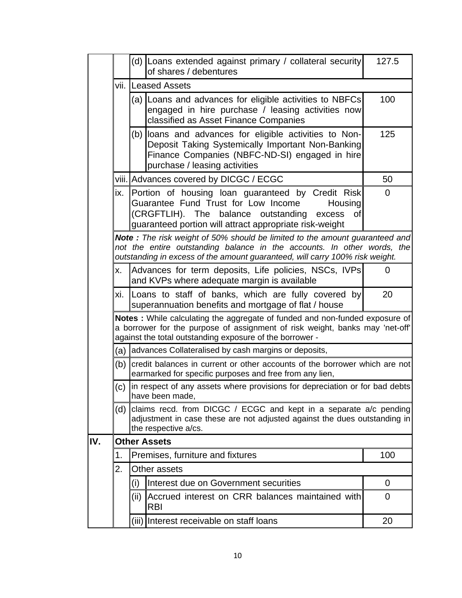|     |                                             |                                                                                                                                                                          | (d) Loans extended against primary / collateral security<br>of shares / debentures                                                                                                                                                     | 127.5          |  |  |
|-----|---------------------------------------------|--------------------------------------------------------------------------------------------------------------------------------------------------------------------------|----------------------------------------------------------------------------------------------------------------------------------------------------------------------------------------------------------------------------------------|----------------|--|--|
|     |                                             |                                                                                                                                                                          | vii. Leased Assets                                                                                                                                                                                                                     |                |  |  |
|     |                                             |                                                                                                                                                                          | (a) Loans and advances for eligible activities to NBFCs<br>engaged in hire purchase / leasing activities now<br>classified as Asset Finance Companies                                                                                  | 100            |  |  |
|     |                                             |                                                                                                                                                                          | (b) loans and advances for eligible activities to Non-<br>Deposit Taking Systemically Important Non-Banking<br>Finance Companies (NBFC-ND-SI) engaged in hire<br>purchase / leasing activities                                         | 125            |  |  |
|     |                                             |                                                                                                                                                                          | viii. Advances covered by DICGC / ECGC                                                                                                                                                                                                 | 50             |  |  |
|     |                                             |                                                                                                                                                                          | ix. Portion of housing loan guaranteed by Credit Risk<br>Guarantee Fund Trust for Low Income<br><b>Housing</b><br>(CRGFTLIH). The balance outstanding<br>excess<br>οf<br>guaranteed portion will attract appropriate risk-weight       | $\overline{0}$ |  |  |
|     |                                             |                                                                                                                                                                          | Note: The risk weight of 50% should be limited to the amount guaranteed and<br>not the entire outstanding balance in the accounts. In other words, the<br>outstanding in excess of the amount guaranteed, will carry 100% risk weight. |                |  |  |
|     | Х.                                          |                                                                                                                                                                          | Advances for term deposits, Life policies, NSCs, IVPs<br>and KVPs where adequate margin is available                                                                                                                                   | 0              |  |  |
|     | xi.                                         | Loans to staff of banks, which are fully covered by<br>superannuation benefits and mortgage of flat / house                                                              | 20                                                                                                                                                                                                                                     |                |  |  |
|     |                                             |                                                                                                                                                                          | Notes : While calculating the aggregate of funded and non-funded exposure of<br>a borrower for the purpose of assignment of risk weight, banks may 'net-off'<br>against the total outstanding exposure of the borrower -               |                |  |  |
|     |                                             |                                                                                                                                                                          | (a) advances Collateralised by cash margins or deposits,                                                                                                                                                                               |                |  |  |
|     | (b)                                         |                                                                                                                                                                          | credit balances in current or other accounts of the borrower which are not<br>earmarked for specific purposes and free from any lien,                                                                                                  |                |  |  |
|     |                                             |                                                                                                                                                                          | (c) In respect of any assets where provisions for depreciation or for bad debts<br>have been made,                                                                                                                                     |                |  |  |
|     | (d)                                         | claims recd. from DICGC / ECGC and kept in a separate $a/c$ pending<br>adjustment in case these are not adjusted against the dues outstanding in<br>the respective a/cs. |                                                                                                                                                                                                                                        |                |  |  |
| IV. |                                             | <b>Other Assets</b>                                                                                                                                                      |                                                                                                                                                                                                                                        |                |  |  |
|     | 1.                                          | 100                                                                                                                                                                      |                                                                                                                                                                                                                                        |                |  |  |
|     | 2.                                          | Other assets                                                                                                                                                             |                                                                                                                                                                                                                                        |                |  |  |
|     |                                             | (i)                                                                                                                                                                      | Interest due on Government securities                                                                                                                                                                                                  | 0              |  |  |
|     |                                             | (ii)                                                                                                                                                                     | Accrued interest on CRR balances maintained with<br><b>RBI</b>                                                                                                                                                                         | $\overline{0}$ |  |  |
|     | Interest receivable on staff loans<br>(iii) |                                                                                                                                                                          |                                                                                                                                                                                                                                        |                |  |  |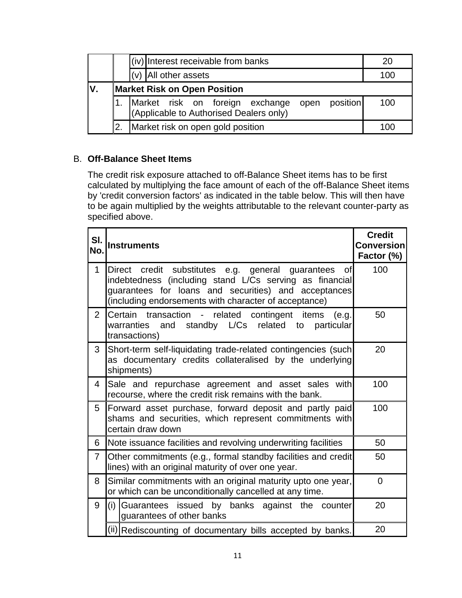|    |                                                                                          |  | (iv) Interest receivable from banks |     |  |  |     | 20 |
|----|------------------------------------------------------------------------------------------|--|-------------------------------------|-----|--|--|-----|----|
|    |                                                                                          |  | $(v)$ All other assets              | 100 |  |  |     |    |
| V. | <b>Market Risk on Open Position</b>                                                      |  |                                     |     |  |  |     |    |
|    | Market risk on foreign exchange open position<br>(Applicable-to-Authorised-Dealers-only) |  |                                     |     |  |  | 100 |    |
|    | 2.                                                                                       |  | Market risk on open gold position   |     |  |  | 10C |    |

# B. **Off-Balance Sheet Items**

The credit risk exposure attached to off-Balance Sheet items has to be first calculated by multiplying the face amount of each of the off-Balance Sheet items by 'credit conversion factors' as indicated in the table below. This will then have to be again multiplied by the weights attributable to the relevant counter-party as specified above.

| SI.<br>No.     | <b>Instruments</b>                                                                                                                                                                                                                         | <b>Credit</b><br><b>Conversion</b><br>Factor (%) |
|----------------|--------------------------------------------------------------------------------------------------------------------------------------------------------------------------------------------------------------------------------------------|--------------------------------------------------|
| $\mathbf{1}$   | Direct credit substitutes e.g. general guarantees<br><b>of</b><br>indebtedness (including stand L/Cs serving as financial<br>guarantees for loans and securities) and acceptances<br>(including endorsements with character of acceptance) | 100                                              |
| $\overline{2}$ | Certain transaction - related contingent items<br>(e.q.<br>warranties and standby L/Cs related to<br>particular<br>transactions)                                                                                                           | 50                                               |
| 3              | Short-term self-liquidating trade-related contingencies (such<br>as documentary credits collateralised by the underlying<br>shipments)                                                                                                     | 20                                               |
| 4              | Sale and repurchase agreement and asset sales with<br>recourse, where the credit risk remains with the bank.                                                                                                                               | 100                                              |
| 5              | Forward asset purchase, forward deposit and partly paid<br>shams and securities, which represent commitments with<br>certain draw down                                                                                                     | 100                                              |
| 6              | Note issuance facilities and revolving underwriting facilities                                                                                                                                                                             | 50                                               |
| $\overline{7}$ | Other commitments (e.g., formal standby facilities and credit)<br>lines) with an original maturity of over one year.                                                                                                                       | 50                                               |
| 8              | Similar commitments with an original maturity upto one year,<br>or which can be unconditionally cancelled at any time.                                                                                                                     | $\Omega$                                         |
| 9              | (i) Guarantees issued by banks against the counter<br>guarantees of other banks                                                                                                                                                            | 20                                               |
|                | (ii) Rediscounting of documentary bills accepted by banks.                                                                                                                                                                                 | 20                                               |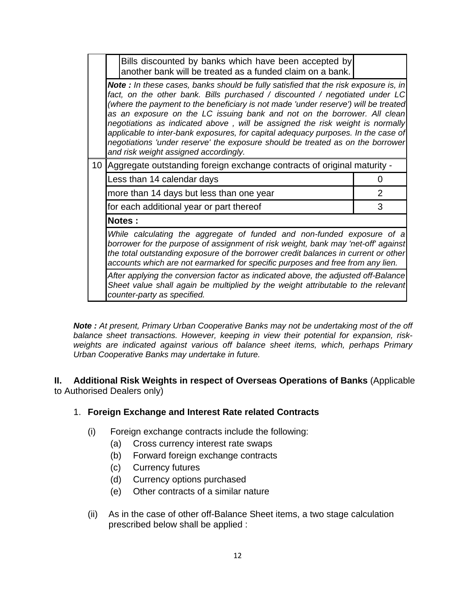|                                                                                                                                                                                                      |                                                                                                                                                                                                                                                                                                                                                                                                                                                                                                                                                                                                                                               | Bills discounted by banks which have been accepted by<br>another bank will be treated as a funded claim on a bank. |   |  |  |  |  |
|------------------------------------------------------------------------------------------------------------------------------------------------------------------------------------------------------|-----------------------------------------------------------------------------------------------------------------------------------------------------------------------------------------------------------------------------------------------------------------------------------------------------------------------------------------------------------------------------------------------------------------------------------------------------------------------------------------------------------------------------------------------------------------------------------------------------------------------------------------------|--------------------------------------------------------------------------------------------------------------------|---|--|--|--|--|
|                                                                                                                                                                                                      | <b>Note</b> : In these cases, banks should be fully satisfied that the risk exposure is, in<br>fact, on the other bank. Bills purchased / discounted / negotiated under LC<br>(where the payment to the beneficiary is not made 'under reserve') will be treated<br>as an exposure on the LC issuing bank and not on the borrower. All clean<br>negotiations as indicated above, will be assigned the risk weight is normally<br>applicable to inter-bank exposures, for capital adequacy purposes. In the case of<br>negotiations 'under reserve' the exposure should be treated as on the borrower<br>and risk weight assigned accordingly. |                                                                                                                    |   |  |  |  |  |
|                                                                                                                                                                                                      |                                                                                                                                                                                                                                                                                                                                                                                                                                                                                                                                                                                                                                               | 10   Aggregate outstanding foreign exchange contracts of original maturity -                                       |   |  |  |  |  |
|                                                                                                                                                                                                      |                                                                                                                                                                                                                                                                                                                                                                                                                                                                                                                                                                                                                                               | Less than 14 calendar days                                                                                         | 0 |  |  |  |  |
|                                                                                                                                                                                                      |                                                                                                                                                                                                                                                                                                                                                                                                                                                                                                                                                                                                                                               | more than 14 days but less than one year                                                                           | 2 |  |  |  |  |
|                                                                                                                                                                                                      |                                                                                                                                                                                                                                                                                                                                                                                                                                                                                                                                                                                                                                               | for each additional year or part thereof                                                                           | 3 |  |  |  |  |
|                                                                                                                                                                                                      |                                                                                                                                                                                                                                                                                                                                                                                                                                                                                                                                                                                                                                               | Notes:                                                                                                             |   |  |  |  |  |
|                                                                                                                                                                                                      | While calculating the aggregate of funded and non-funded exposure of a<br>borrower for the purpose of assignment of risk weight, bank may 'net-off' against<br>the total outstanding exposure of the borrower credit balances in current or other<br>accounts which are not earmarked for specific purposes and free from any lien.                                                                                                                                                                                                                                                                                                           |                                                                                                                    |   |  |  |  |  |
| After applying the conversion factor as indicated above, the adjusted off-Balance<br>Sheet value shall again be multiplied by the weight attributable to the relevant<br>counter-party as specified. |                                                                                                                                                                                                                                                                                                                                                                                                                                                                                                                                                                                                                                               |                                                                                                                    |   |  |  |  |  |

*Note : At present, Primary Urban Cooperative Banks may not be undertaking most of the off balance sheet transactions. However, keeping in view their potential for expansion, riskweights are indicated against various off balance sheet items, which, perhaps Primary Urban Cooperative Banks may undertake in future.* 

# **II. Additional Risk Weights in respect of Overseas Operations of Banks** (Applicable to Authorised Dealers only)

# 1. **Foreign Exchange and Interest Rate related Contracts**

- (i) Foreign exchange contracts include the following:
	- (a) Cross currency interest rate swaps
	- (b) Forward foreign exchange contracts
	- (c) Currency futures
	- (d) Currency options purchased
	- (e) Other contracts of a similar nature
- (ii) As in the case of other off-Balance Sheet items, a two stage calculation prescribed below shall be applied :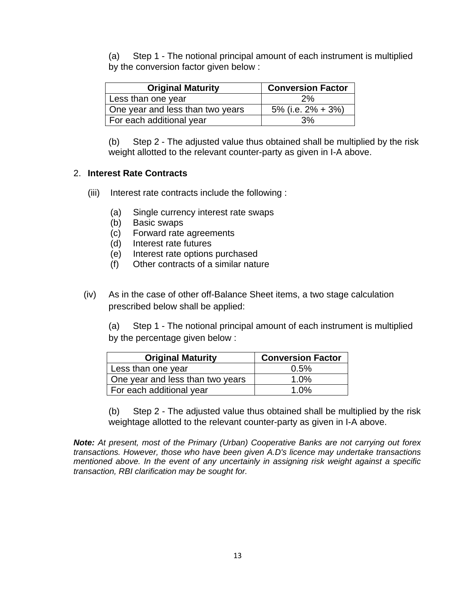(a) Step 1 - The notional principal amount of each instrument is multiplied by the conversion factor given below :

| <b>Original Maturity</b>         | <b>Conversion Factor</b> |
|----------------------------------|--------------------------|
| Less than one year               | 2%                       |
| One year and less than two years | 5% (i.e. $2\% + 3\%)$    |
| For each additional year         | 3%                       |

 (b) Step 2 - The adjusted value thus obtained shall be multiplied by the risk weight allotted to the relevant counter-party as given in I-A above.

# 2. **Interest Rate Contracts**

- (iii) Interest rate contracts include the following :
	- (a) Single currency interest rate swaps
	- (b) Basic swaps
	- (c) Forward rate agreements
	- (d) Interest rate futures
	- (e) Interest rate options purchased
	- (f) Other contracts of a similar nature
- (iv) As in the case of other off-Balance Sheet items, a two stage calculation prescribed below shall be applied:

 (a) Step 1 - The notional principal amount of each instrument is multiplied by the percentage given below :

| <b>Original Maturity</b>         | <b>Conversion Factor</b> |
|----------------------------------|--------------------------|
| Less than one year               | 0.5%                     |
| One year and less than two years | $1.0\%$                  |
| For each additional year         | 1.0%                     |

 (b) Step 2 - The adjusted value thus obtained shall be multiplied by the risk weightage allotted to the relevant counter-party as given in I-A above.

*Note: At present, most of the Primary (Urban) Cooperative Banks are not carrying out forex transactions. However, those who have been given A.D's licence may undertake transactions mentioned above. In the event of any uncertainly in assigning risk weight against a specific transaction, RBI clarification may be sought for.*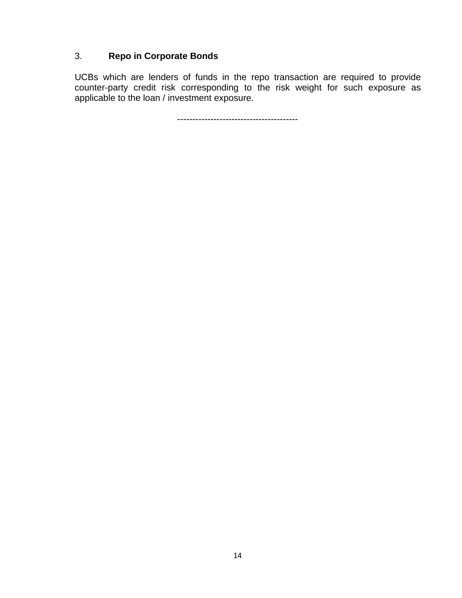# 3. **Repo in Corporate Bonds**

UCBs which are lenders of funds in the repo transaction are required to provide counter-party credit risk corresponding to the risk weight for such exposure as applicable to the loan / investment exposure.

----------------------------------------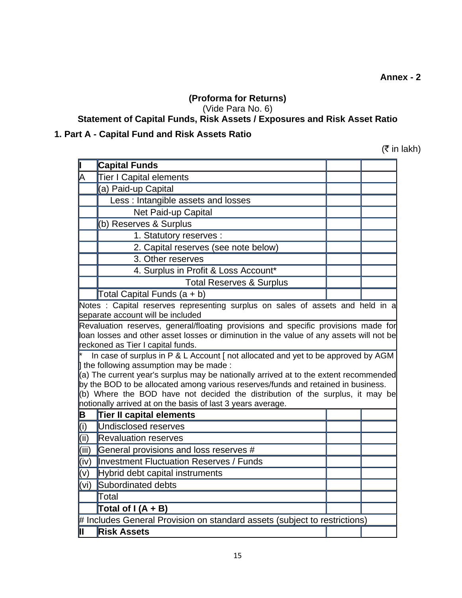# **(Proforma for Returns)**

(Vide Para No. 6)

# **[Statement of Capital Funds, Risk Assets / Exposures and Risk Asset Ratio](http://172.16.3.15/kmt/returns/5y09.xls)**

# **1. Part A - Capital Fund and Risk Assets Ratio**

 $($ ₹ in lakh)

|       | <b>Capital Funds</b>                                                                                                                                                                                                                                                                                                                                                                                                                                     |  |
|-------|----------------------------------------------------------------------------------------------------------------------------------------------------------------------------------------------------------------------------------------------------------------------------------------------------------------------------------------------------------------------------------------------------------------------------------------------------------|--|
| A     | <b>Tier I Capital elements</b>                                                                                                                                                                                                                                                                                                                                                                                                                           |  |
|       | (a) Paid-up Capital                                                                                                                                                                                                                                                                                                                                                                                                                                      |  |
|       | Less: Intangible assets and losses                                                                                                                                                                                                                                                                                                                                                                                                                       |  |
|       | Net Paid-up Capital                                                                                                                                                                                                                                                                                                                                                                                                                                      |  |
|       | (b) Reserves & Surplus                                                                                                                                                                                                                                                                                                                                                                                                                                   |  |
|       | 1. Statutory reserves :                                                                                                                                                                                                                                                                                                                                                                                                                                  |  |
|       | 2. Capital reserves (see note below)                                                                                                                                                                                                                                                                                                                                                                                                                     |  |
|       | 3. Other reserves                                                                                                                                                                                                                                                                                                                                                                                                                                        |  |
|       | 4. Surplus in Profit & Loss Account*                                                                                                                                                                                                                                                                                                                                                                                                                     |  |
|       | <b>Total Reserves &amp; Surplus</b>                                                                                                                                                                                                                                                                                                                                                                                                                      |  |
|       | Total Capital Funds (a + b)                                                                                                                                                                                                                                                                                                                                                                                                                              |  |
|       | Notes: Capital reserves representing surplus on sales of assets and held in a<br>separate account will be included                                                                                                                                                                                                                                                                                                                                       |  |
|       | loan losses and other asset losses or diminution in the value of any assets will not be<br>reckoned as Tier I capital funds.                                                                                                                                                                                                                                                                                                                             |  |
|       | In case of surplus in P & L Account [ not allocated and yet to be approved by AGM<br>the following assumption may be made:<br>(a) The current year's surplus may be nationally arrived at to the extent recommended<br>by the BOD to be allocated among various reserves/funds and retained in business.<br>(b) Where the BOD have not decided the distribution of the surplus, it may be<br>notionally arrived at on the basis of last 3 years average. |  |
| B     | <b>Tier II capital elements</b>                                                                                                                                                                                                                                                                                                                                                                                                                          |  |
| (i)   | Undisclosed reserves                                                                                                                                                                                                                                                                                                                                                                                                                                     |  |
| (iii) | <b>Revaluation reserves</b>                                                                                                                                                                                                                                                                                                                                                                                                                              |  |
| (iii) | General provisions and loss reserves #                                                                                                                                                                                                                                                                                                                                                                                                                   |  |
| (iv)  | Investment Fluctuation Reserves / Funds                                                                                                                                                                                                                                                                                                                                                                                                                  |  |
| (v)   | Hybrid debt capital instruments                                                                                                                                                                                                                                                                                                                                                                                                                          |  |
| (vi)  | Subordinated debts                                                                                                                                                                                                                                                                                                                                                                                                                                       |  |
|       | Total                                                                                                                                                                                                                                                                                                                                                                                                                                                    |  |
|       | Total of $I(A + B)$                                                                                                                                                                                                                                                                                                                                                                                                                                      |  |
|       | # Includes General Provision on standard assets (subject to restrictions)                                                                                                                                                                                                                                                                                                                                                                                |  |
| līī   | <b>Risk Assets</b>                                                                                                                                                                                                                                                                                                                                                                                                                                       |  |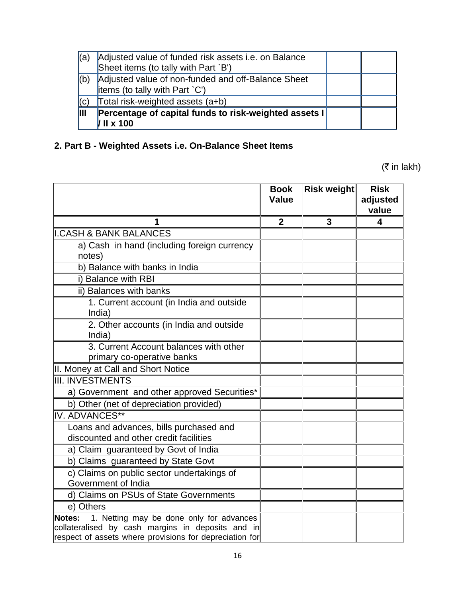| ka)                     | Adjusted value of funded risk assets i.e. on Balance<br>Sheet items (to tally with Part `B')   |  |
|-------------------------|------------------------------------------------------------------------------------------------|--|
| (b)                     | Adjusted value of non-funded and off-Balance Sheet<br>litems (to tally with Part $\degree$ C') |  |
| (C)                     | Total risk-weighted assets (a+b)                                                               |  |
| $\mathbf{\mathsf{III}}$ | Percentage of capital funds to risk-weighted assets I<br>$II \times 100$                       |  |

# **2. Part B - Weighted Assets i.e. On-Balance Sheet Items**

 $(\bar{\bar{\mathbf{z}}}$  in lakh)

|                                                                                                                                                                    | <b>Book</b><br>Value | Risk weight | <b>Risk</b><br>adjusted<br>value |
|--------------------------------------------------------------------------------------------------------------------------------------------------------------------|----------------------|-------------|----------------------------------|
| 1                                                                                                                                                                  | $\mathbf{2}$         | 3           | 4                                |
| <b>I.CASH &amp; BANK BALANCES</b>                                                                                                                                  |                      |             |                                  |
| a) Cash in hand (including foreign currency<br>notes)                                                                                                              |                      |             |                                  |
| b) Balance with banks in India                                                                                                                                     |                      |             |                                  |
| i) Balance with RBI                                                                                                                                                |                      |             |                                  |
| ii) Balances with banks                                                                                                                                            |                      |             |                                  |
| 1. Current account (in India and outside<br>India)                                                                                                                 |                      |             |                                  |
| 2. Other accounts (in India and outside<br>India)                                                                                                                  |                      |             |                                  |
| 3. Current Account balances with other<br>primary co-operative banks                                                                                               |                      |             |                                  |
| II. Money at Call and Short Notice                                                                                                                                 |                      |             |                                  |
| <b>III. INVESTMENTS</b>                                                                                                                                            |                      |             |                                  |
| a) Government and other approved Securities*                                                                                                                       |                      |             |                                  |
| b) Other (net of depreciation provided)                                                                                                                            |                      |             |                                  |
| IV. ADVANCES**                                                                                                                                                     |                      |             |                                  |
| Loans and advances, bills purchased and<br>discounted and other credit facilities                                                                                  |                      |             |                                  |
| a) Claim guaranteed by Govt of India                                                                                                                               |                      |             |                                  |
| b) Claims guaranteed by State Govt                                                                                                                                 |                      |             |                                  |
| c) Claims on public sector undertakings of<br>Government of India                                                                                                  |                      |             |                                  |
| d) Claims on PSUs of State Governments                                                                                                                             |                      |             |                                  |
| e) Others                                                                                                                                                          |                      |             |                                  |
| 1. Netting may be done only for advances<br>Notes:<br>collateralised by cash margins in deposits and in<br>respect of assets where provisions for depreciation for |                      |             |                                  |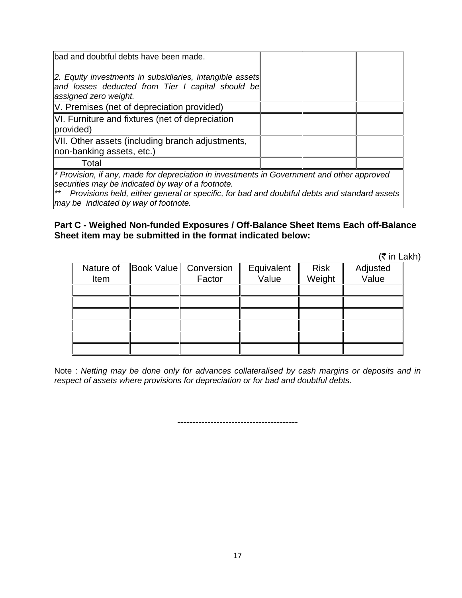| bad and doubtful debts have been made.                                                                                                          |  |  |  |
|-------------------------------------------------------------------------------------------------------------------------------------------------|--|--|--|
| 2. Equity investments in subsidiaries, intangible assets<br>and losses deducted from Tier I capital should be<br>assigned zero weight.          |  |  |  |
| V. Premises (net of depreciation provided)                                                                                                      |  |  |  |
| VI. Furniture and fixtures (net of depreciation<br>provided)                                                                                    |  |  |  |
| VII. Other assets (including branch adjustments,<br>non-banking assets, etc.)                                                                   |  |  |  |
| Total                                                                                                                                           |  |  |  |
| * Provision, if any, made for depreciation in investments in Government and other approved<br>securities may be indicated by way of a footnote. |  |  |  |

*\*\* Provisions held, either general or specific, for bad and doubtful debts and standard assets may be indicated by way of footnote.*

#### **Part C - Weighed Non-funded Exposures / Off-Balance Sheet Items Each off-Balance Sheet item may be submitted in the format indicated below:**

 $($ ₹ in Lakh)

|           |                       |            |             | ヽ  . ㄴ   |
|-----------|-----------------------|------------|-------------|----------|
| Nature of | Book Value Conversion | Equivalent | <b>Risk</b> | Adjusted |
| Item      | Factor                | Value      | Weight      | Value    |
|           |                       |            |             |          |
|           |                       |            |             |          |
|           |                       |            |             |          |
|           |                       |            |             |          |
|           |                       |            |             |          |
|           |                       |            |             |          |

Note : *Netting may be done only for advances collateralised by cash margins or deposits and in respect of assets where provisions for depreciation or for bad and doubtful debts.*

----------------------------------------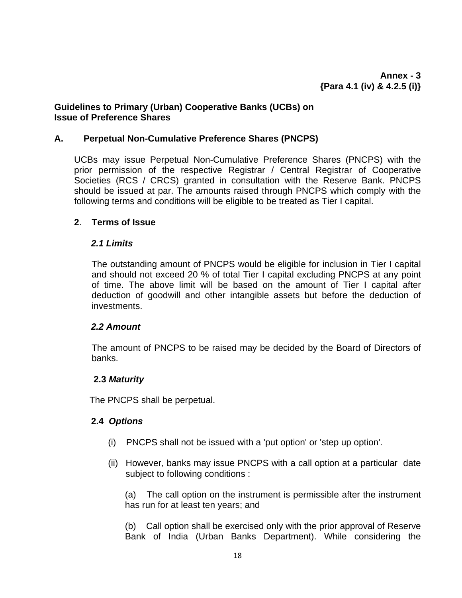# **Guidelines to Primary (Urban) Cooperative Banks (UCBs) on Issue of Preference Shares**

# **A. Perpetual Non-Cumulative Preference Shares (PNCPS)**

UCBs may issue Perpetual Non-Cumulative Preference Shares (PNCPS) with the prior permission of the respective Registrar / Central Registrar of Cooperative Societies (RCS / CRCS) granted in consultation with the Reserve Bank. PNCPS should be issued at par. The amounts raised through PNCPS which comply with the following terms and conditions will be eligible to be treated as Tier I capital.

# **2**. **Terms of Issue**

# *2.1 Limits*

The outstanding amount of PNCPS would be eligible for inclusion in Tier I capital and should not exceed 20 % of total Tier I capital excluding PNCPS at any point of time. The above limit will be based on the amount of Tier I capital after deduction of goodwill and other intangible assets but before the deduction of investments.

# *2.2 Amount*

The amount of PNCPS to be raised may be decided by the Board of Directors of banks.

# **2.3** *Maturity*

The PNCPS shall be perpetual.

# **2.4** *Options*

- (i) PNCPS shall not be issued with a 'put option' or 'step up option'.
- (ii) However, banks may issue PNCPS with a call option at a particular date subject to following conditions :

(a) The call option on the instrument is permissible after the instrument has run for at least ten years; and

(b) Call option shall be exercised only with the prior approval of Reserve Bank of India (Urban Banks Department). While considering the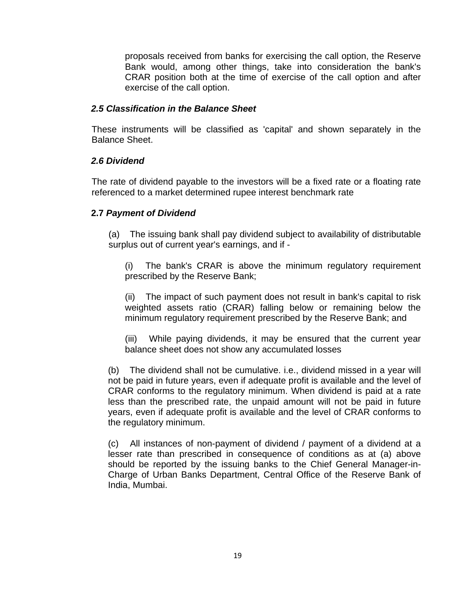proposals received from banks for exercising the call option, the Reserve Bank would, among other things, take into consideration the bank's CRAR position both at the time of exercise of the call option and after exercise of the call option.

# *2.5 Classification in the Balance Sheet*

These instruments will be classified as 'capital' and shown separately in the Balance Sheet.

# *2.6 Dividend*

The rate of dividend payable to the investors will be a fixed rate or a floating rate referenced to a market determined rupee interest benchmark rate

# **2.7** *Payment of Dividend*

(a) The issuing bank shall pay dividend subject to availability of distributable surplus out of current year's earnings, and if -

(i) The bank's CRAR is above the minimum regulatory requirement prescribed by the Reserve Bank;

(ii) The impact of such payment does not result in bank's capital to risk weighted assets ratio (CRAR) falling below or remaining below the minimum regulatory requirement prescribed by the Reserve Bank; and

(iii) While paying dividends, it may be ensured that the current year balance sheet does not show any accumulated losses

(b) The dividend shall not be cumulative. i.e., dividend missed in a year will not be paid in future years, even if adequate profit is available and the level of CRAR conforms to the regulatory minimum. When dividend is paid at a rate less than the prescribed rate, the unpaid amount will not be paid in future years, even if adequate profit is available and the level of CRAR conforms to the regulatory minimum.

(c) All instances of non-payment of dividend / payment of a dividend at a lesser rate than prescribed in consequence of conditions as at (a) above should be reported by the issuing banks to the Chief General Manager-in-Charge of Urban Banks Department, Central Office of the Reserve Bank of India, Mumbai.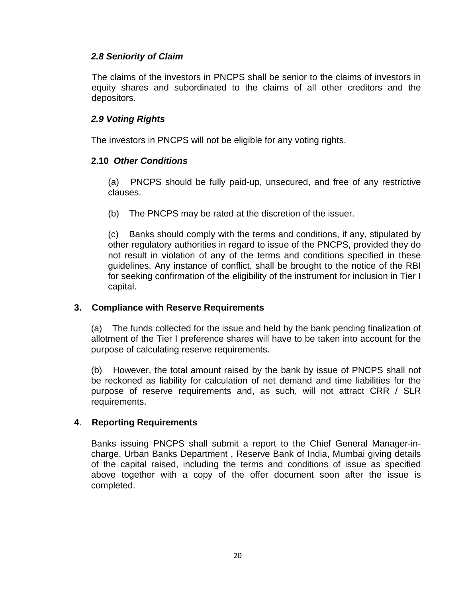# *2.8 Seniority of Claim*

The claims of the investors in PNCPS shall be senior to the claims of investors in equity shares and subordinated to the claims of all other creditors and the depositors.

# *2.9 Voting Rights*

The investors in PNCPS will not be eligible for any voting rights.

# **2.10** *Other Conditions*

(a) PNCPS should be fully paid-up, unsecured, and free of any restrictive clauses.

(b) The PNCPS may be rated at the discretion of the issuer.

(c) Banks should comply with the terms and conditions, if any, stipulated by other regulatory authorities in regard to issue of the PNCPS, provided they do not result in violation of any of the terms and conditions specified in these guidelines. Any instance of conflict, shall be brought to the notice of the RBI for seeking confirmation of the eligibility of the instrument for inclusion in Tier I capital.

# **3. Compliance with Reserve Requirements**

(a) The funds collected for the issue and held by the bank pending finalization of allotment of the Tier I preference shares will have to be taken into account for the purpose of calculating reserve requirements.

(b) However, the total amount raised by the bank by issue of PNCPS shall not be reckoned as liability for calculation of net demand and time liabilities for the purpose of reserve requirements and, as such, will not attract CRR / SLR requirements.

# **4**. **Reporting Requirements**

Banks issuing PNCPS shall submit a report to the Chief General Manager-incharge, Urban Banks Department , Reserve Bank of India, Mumbai giving details of the capital raised, including the terms and conditions of issue as specified above together with a copy of the offer document soon after the issue is completed.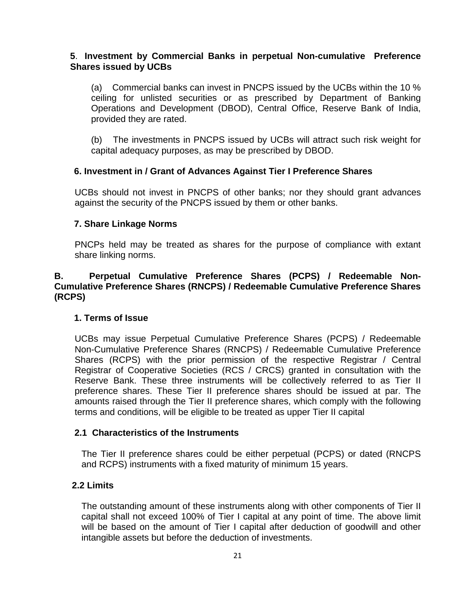# **5**. **Investment by Commercial Banks in perpetual Non-cumulative Preference Shares issued by UCBs**

(a) Commercial banks can invest in PNCPS issued by the UCBs within the 10 % ceiling for unlisted securities or as prescribed by Department of Banking Operations and Development (DBOD), Central Office, Reserve Bank of India, provided they are rated.

(b) The investments in PNCPS issued by UCBs will attract such risk weight for capital adequacy purposes, as may be prescribed by DBOD.

# **6. Investment in / Grant of Advances Against Tier I Preference Shares**

UCBs should not invest in PNCPS of other banks; nor they should grant advances against the security of the PNCPS issued by them or other banks.

# **7. Share Linkage Norms**

PNCPs held may be treated as shares for the purpose of compliance with extant share linking norms.

# **B. Perpetual Cumulative Preference Shares (PCPS) / Redeemable Non-Cumulative Preference Shares (RNCPS) / Redeemable Cumulative Preference Shares (RCPS)**

# **1. Terms of Issue**

UCBs may issue Perpetual Cumulative Preference Shares (PCPS) / Redeemable Non-Cumulative Preference Shares (RNCPS) / Redeemable Cumulative Preference Shares (RCPS) with the prior permission of the respective Registrar / Central Registrar of Cooperative Societies (RCS / CRCS) granted in consultation with the Reserve Bank. These three instruments will be collectively referred to as Tier II preference shares. These Tier II preference shares should be issued at par. The amounts raised through the Tier II preference shares, which comply with the following terms and conditions, will be eligible to be treated as upper Tier II capital

# **2.1 Characteristics of the Instruments**

The Tier II preference shares could be either perpetual (PCPS) or dated (RNCPS and RCPS) instruments with a fixed maturity of minimum 15 years.

# **2.2 Limits**

The outstanding amount of these instruments along with other components of Tier II capital shall not exceed 100% of Tier I capital at any point of time. The above limit will be based on the amount of Tier I capital after deduction of goodwill and other intangible assets but before the deduction of investments.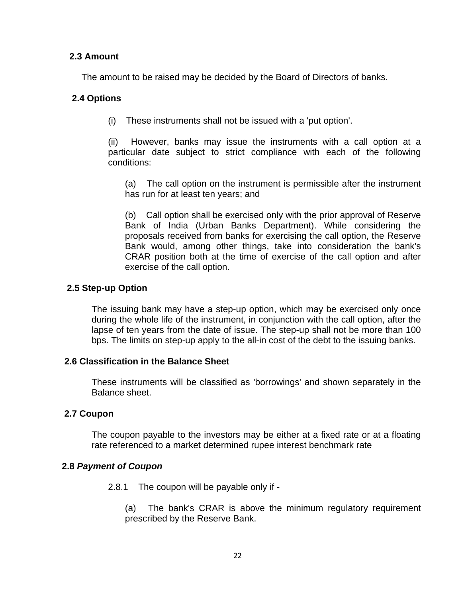# **2.3 Amount**

The amount to be raised may be decided by the Board of Directors of banks.

# **2.4 Options**

(i) These instruments shall not be issued with a 'put option'.

(ii) However, banks may issue the instruments with a call option at a particular date subject to strict compliance with each of the following conditions:

(a) The call option on the instrument is permissible after the instrument has run for at least ten years; and

(b) Call option shall be exercised only with the prior approval of Reserve Bank of India (Urban Banks Department). While considering the proposals received from banks for exercising the call option, the Reserve Bank would, among other things, take into consideration the bank's CRAR position both at the time of exercise of the call option and after exercise of the call option.

# **2.5 Step-up Option**

The issuing bank may have a step-up option, which may be exercised only once during the whole life of the instrument, in conjunction with the call option, after the lapse of ten years from the date of issue. The step-up shall not be more than 100 bps. The limits on step-up apply to the all-in cost of the debt to the issuing banks.

# **2.6 Classification in the Balance Sheet**

These instruments will be classified as 'borrowings' and shown separately in the Balance sheet.

# **2.7 Coupon**

The coupon payable to the investors may be either at a fixed rate or at a floating rate referenced to a market determined rupee interest benchmark rate

# **2.8** *Payment of Coupon*

2.8.1 The coupon will be payable only if -

(a) The bank's CRAR is above the minimum regulatory requirement prescribed by the Reserve Bank.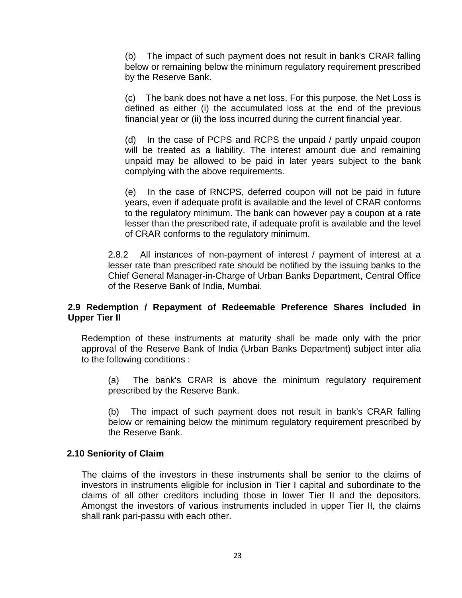(b) The impact of such payment does not result in bank's CRAR falling below or remaining below the minimum regulatory requirement prescribed by the Reserve Bank.

(c) The bank does not have a net loss. For this purpose, the Net Loss is defined as either (i) the accumulated loss at the end of the previous financial year or (ii) the loss incurred during the current financial year.

(d) In the case of PCPS and RCPS the unpaid / partly unpaid coupon will be treated as a liability. The interest amount due and remaining unpaid may be allowed to be paid in later years subject to the bank complying with the above requirements.

(e) In the case of RNCPS, deferred coupon will not be paid in future years, even if adequate profit is available and the level of CRAR conforms to the regulatory minimum. The bank can however pay a coupon at a rate lesser than the prescribed rate, if adequate profit is available and the level of CRAR conforms to the regulatory minimum.

2.8.2 All instances of non-payment of interest / payment of interest at a lesser rate than prescribed rate should be notified by the issuing banks to the Chief General Manager-in-Charge of Urban Banks Department, Central Office of the Reserve Bank of India, Mumbai.

#### **2.9 Redemption / Repayment of Redeemable Preference Shares included in Upper Tier II**

Redemption of these instruments at maturity shall be made only with the prior approval of the Reserve Bank of India (Urban Banks Department) subject inter alia to the following conditions :

(a) The bank's CRAR is above the minimum regulatory requirement prescribed by the Reserve Bank.

The impact of such payment does not result in bank's CRAR falling below or remaining below the minimum regulatory requirement prescribed by the Reserve Bank.

#### **2.10 Seniority of Claim**

The claims of the investors in these instruments shall be senior to the claims of investors in instruments eligible for inclusion in Tier I capital and subordinate to the claims of all other creditors including those in lower Tier II and the depositors. Amongst the investors of various instruments included in upper Tier II, the claims shall rank pari-passu with each other.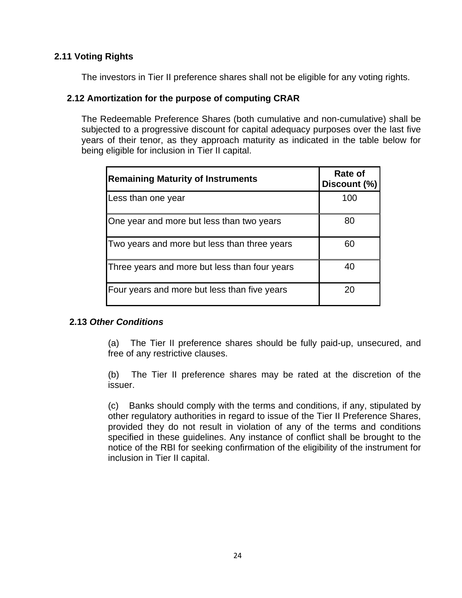# **2.11 Voting Rights**

The investors in Tier II preference shares shall not be eligible for any voting rights.

# **2.12 Amortization for the purpose of computing CRAR**

The Redeemable Preference Shares (both cumulative and non-cumulative) shall be subjected to a progressive discount for capital adequacy purposes over the last five years of their tenor, as they approach maturity as indicated in the table below for being eligible for inclusion in Tier II capital.

| <b>Remaining Maturity of Instruments</b>      | Rate of<br>Discount (%) |
|-----------------------------------------------|-------------------------|
| Less than one year                            | 100                     |
| One year and more but less than two years     | 80                      |
| Two years and more but less than three years  | 60                      |
| Three years and more but less than four years | 40                      |
| Four years and more but less than five years  | 20                      |

# **2.13** *Other Conditions*

(a) The Tier II preference shares should be fully paid-up, unsecured, and free of any restrictive clauses.

(b) The Tier II preference shares may be rated at the discretion of the issuer.

(c) Banks should comply with the terms and conditions, if any, stipulated by other regulatory authorities in regard to issue of the Tier II Preference Shares, provided they do not result in violation of any of the terms and conditions specified in these guidelines. Any instance of conflict shall be brought to the notice of the RBI for seeking confirmation of the eligibility of the instrument for inclusion in Tier II capital.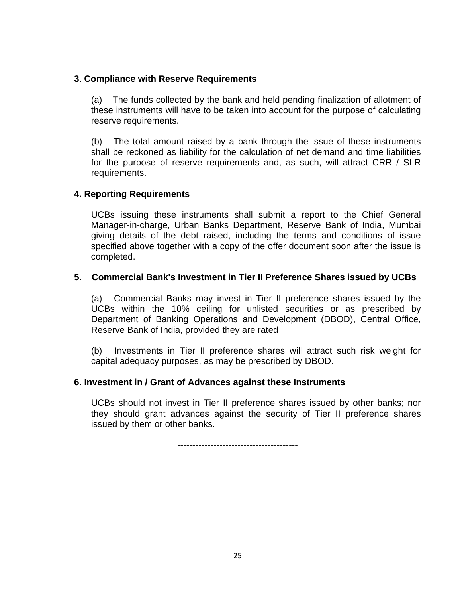# **3**. **Compliance with Reserve Requirements**

(a) The funds collected by the bank and held pending finalization of allotment of these instruments will have to be taken into account for the purpose of calculating reserve requirements.

(b) The total amount raised by a bank through the issue of these instruments shall be reckoned as liability for the calculation of net demand and time liabilities for the purpose of reserve requirements and, as such, will attract CRR / SLR requirements.

# **4. Reporting Requirements**

UCBs issuing these instruments shall submit a report to the Chief General Manager-in-charge, Urban Banks Department, Reserve Bank of India, Mumbai giving details of the debt raised, including the terms and conditions of issue specified above together with a copy of the offer document soon after the issue is completed.

#### **5**. **Commercial Bank's Investment in Tier II Preference Shares issued by UCBs**

(a) Commercial Banks may invest in Tier II preference shares issued by the UCBs within the 10% ceiling for unlisted securities or as prescribed by Department of Banking Operations and Development (DBOD), Central Office, Reserve Bank of India, provided they are rated

(b) Investments in Tier II preference shares will attract such risk weight for capital adequacy purposes, as may be prescribed by DBOD.

# **6. Investment in / Grant of Advances against these Instruments**

UCBs should not invest in Tier II preference shares issued by other banks; nor they should grant advances against the security of Tier II preference shares issued by them or other banks.

----------------------------------------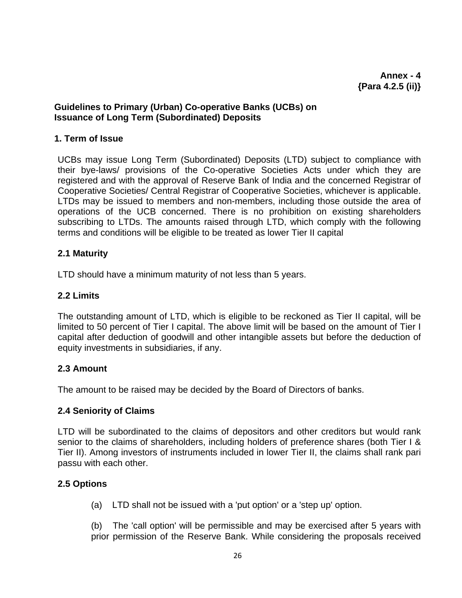# **Guidelines to Primary (Urban) Co-operative Banks (UCBs) on Issuance of Long Term (Subordinated) Deposits**

#### **1. Term of Issue**

UCBs may issue Long Term (Subordinated) Deposits (LTD) subject to compliance with their bye-laws/ provisions of the Co-operative Societies Acts under which they are registered and with the approval of Reserve Bank of India and the concerned Registrar of Cooperative Societies/ Central Registrar of Cooperative Societies, whichever is applicable. LTDs may be issued to members and non-members, including those outside the area of operations of the UCB concerned. There is no prohibition on existing shareholders subscribing to LTDs. The amounts raised through LTD, which comply with the following terms and conditions will be eligible to be treated as lower Tier II capital

# **2.1 Maturity**

LTD should have a minimum maturity of not less than 5 years.

#### **2.2 Limits**

The outstanding amount of LTD, which is eligible to be reckoned as Tier II capital, will be limited to 50 percent of Tier I capital. The above limit will be based on the amount of Tier I capital after deduction of goodwill and other intangible assets but before the deduction of equity investments in subsidiaries, if any.

# **2.3 Amount**

The amount to be raised may be decided by the Board of Directors of banks.

#### **2.4 Seniority of Claims**

LTD will be subordinated to the claims of depositors and other creditors but would rank senior to the claims of shareholders, including holders of preference shares (both Tier I & Tier II). Among investors of instruments included in lower Tier II, the claims shall rank pari passu with each other.

# **2.5 Options**

(a) LTD shall not be issued with a 'put option' or a 'step up' option.

(b) The 'call option' will be permissible and may be exercised after 5 years with prior permission of the Reserve Bank. While considering the proposals received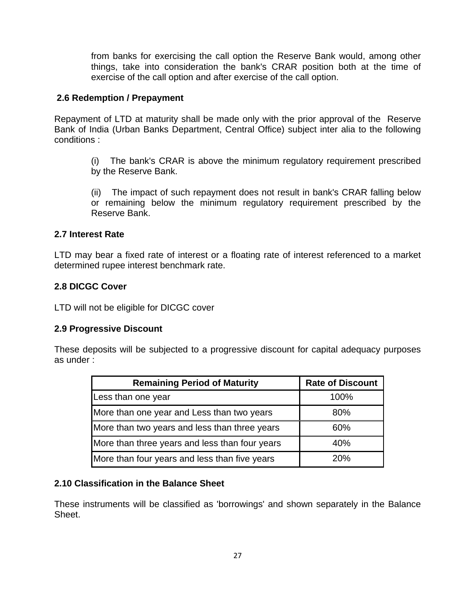from banks for exercising the call option the Reserve Bank would, among other things, take into consideration the bank's CRAR position both at the time of exercise of the call option and after exercise of the call option.

#### **2.6 Redemption / Prepayment**

Repayment of LTD at maturity shall be made only with the prior approval of the Reserve Bank of India (Urban Banks Department, Central Office) subject inter alia to the following conditions :

(i) The bank's CRAR is above the minimum regulatory requirement prescribed by the Reserve Bank.

(ii) The impact of such repayment does not result in bank's CRAR falling below or remaining below the minimum regulatory requirement prescribed by the Reserve Bank.

#### **2.7 Interest Rate**

LTD may bear a fixed rate of interest or a floating rate of interest referenced to a market determined rupee interest benchmark rate.

# **2.8 DICGC Cover**

LTD will not be eligible for DICGC cover

#### **2.9 Progressive Discount**

These deposits will be subjected to a progressive discount for capital adequacy purposes as under :

| <b>Remaining Period of Maturity</b>            | <b>Rate of Discount</b> |
|------------------------------------------------|-------------------------|
| Less than one year                             | 100%                    |
| More than one year and Less than two years     | 80%                     |
| More than two years and less than three years  | 60%                     |
| More than three years and less than four years | 40%                     |
| More than four years and less than five years  | 20%                     |

# **2.10 Classification in the Balance Sheet**

These instruments will be classified as 'borrowings' and shown separately in the Balance Sheet.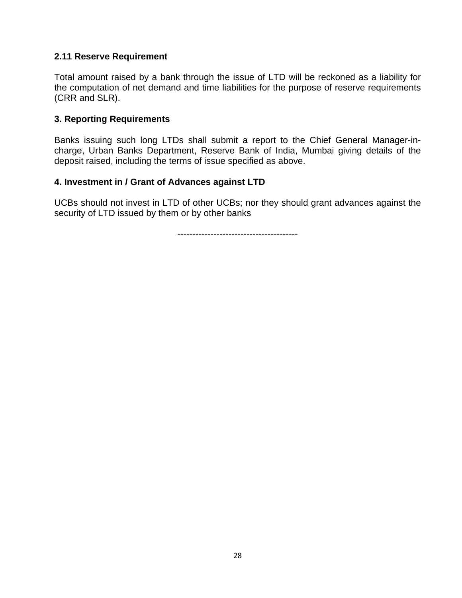# **2.11 Reserve Requirement**

Total amount raised by a bank through the issue of LTD will be reckoned as a liability for the computation of net demand and time liabilities for the purpose of reserve requirements (CRR and SLR).

# **3. Reporting Requirements**

Banks issuing such long LTDs shall submit a report to the Chief General Manager-incharge, Urban Banks Department, Reserve Bank of India, Mumbai giving details of the deposit raised, including the terms of issue specified as above.

# **4. Investment in / Grant of Advances against LTD**

UCBs should not invest in LTD of other UCBs; nor they should grant advances against the security of LTD issued by them or by other banks

----------------------------------------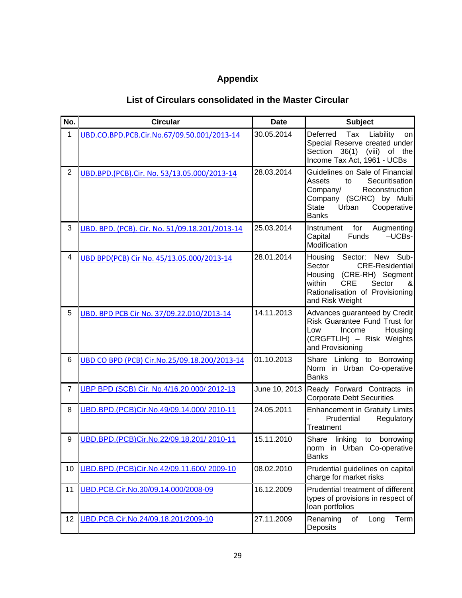# **Appendix**

# **List of Circulars consolidated in the Master Circular**

| No.            | <b>Circular</b>                                | <b>Date</b> | <b>Subject</b>                                                                                                                                                                              |
|----------------|------------------------------------------------|-------------|---------------------------------------------------------------------------------------------------------------------------------------------------------------------------------------------|
| 1              | UBD.CO.BPD.PCB.Cir.No.67/09.50.001/2013-14     | 30.05.2014  | Tax<br>Deferred<br>Liability<br>on<br>Special Reserve created under<br>36(1)<br>Section<br>(viii)<br>of the<br>Income Tax Act, 1961 - UCBs                                                  |
| $\overline{2}$ | UBD.BPD.(PCB).Cir. No. 53/13.05.000/2013-14    | 28.03.2014  | Guidelines on Sale of Financial<br>Assets<br>Securitisation<br>to<br>Company/<br>Reconstruction<br>Company (SC/RC) by Multi<br><b>State</b><br>Urban<br>Cooperative<br><b>Banks</b>         |
| 3              | UBD. BPD. (PCB). Cir. No. 51/09.18.201/2013-14 | 25.03.2014  | for<br>Augmenting<br>Instrument<br>Funds<br>$-UCBs-$<br>Capital<br>Modification                                                                                                             |
| 4              | UBD BPD(PCB) Cir No. 45/13.05.000/2013-14      | 28.01.2014  | Housing<br>Sector: New Sub-<br>Sector<br><b>CRE-Residential</b><br>Housing<br>(CRE-RH) Segment<br>Sector<br>within<br><b>CRE</b><br>&<br>Rationalisation of Provisioning<br>and Risk Weight |
| 5              | UBD. BPD PCB Cir No. 37/09.22.010/2013-14      | 14.11.2013  | Advances guaranteed by Credit<br>Risk Guarantee Fund Trust for<br>Income<br>Housing<br>Low<br>(CRGFTLIH) - Risk Weights<br>and Provisioning                                                 |
| 6              | UBD CO BPD (PCB) Cir.No.25/09.18.200/2013-14   | 01.10.2013  | Share Linking to Borrowing<br>Norm in Urban Co-operative<br><b>Banks</b>                                                                                                                    |
| $\overline{7}$ | UBP BPD (SCB) Cir. No.4/16.20.000/2012-13      |             | June 10, 2013 Ready Forward Contracts in<br><b>Corporate Debt Securities</b>                                                                                                                |
| 8              | UBD.BPD.(PCB)Cir.No.49/09.14.000/2010-11       | 24.05.2011  | <b>Enhancement in Gratuity Limits</b><br>Regulatory<br>Prudential<br>Treatment                                                                                                              |
| 9              | UBD.BPD.(PCB)Cir.No.22/09.18.201/2010-11       | 15.11.2010  | Share<br>linking<br>to<br>borrowing<br>norm in Urban Co-operative<br><b>Banks</b>                                                                                                           |
| 10             | UBD.BPD.(PCB)Cir.No.42/09.11.600/2009-10       | 08.02.2010  | Prudential guidelines on capital<br>charge for market risks                                                                                                                                 |
| 11             | UBD.PCB.Cir.No.30/09.14.000/2008-09            | 16.12.2009  | Prudential treatment of different<br>types of provisions in respect of<br>loan portfolios                                                                                                   |
| 12             | UBD.PCB.Cir.No.24/09.18.201/2009-10            | 27.11.2009  | Renaming<br>of<br>Term<br>Long<br>Deposits                                                                                                                                                  |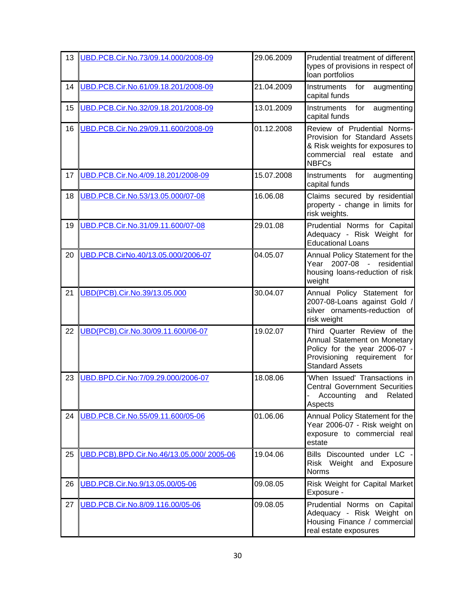| 13 | UBD.PCB.Cir.No.73/09.14.000/2008-09      | 29.06.2009 | Prudential treatment of different<br>types of provisions in respect of<br>loan portfolios                                                              |
|----|------------------------------------------|------------|--------------------------------------------------------------------------------------------------------------------------------------------------------|
| 14 | UBD.PCB.Cir.No.61/09.18.201/2008-09      | 21.04.2009 | Instruments<br>for<br>augmenting<br>capital funds                                                                                                      |
| 15 | UBD.PCB.Cir.No.32/09.18.201/2008-09      | 13.01.2009 | Instruments<br>augmenting<br>for<br>capital funds                                                                                                      |
| 16 | UBD.PCB.Cir.No.29/09.11.600/2008-09      | 01.12.2008 | Review of Prudential Norms-<br>Provision for Standard Assets<br>& Risk weights for exposures to<br>commercial real estate and<br><b>NBFCs</b>          |
| 17 | UBD.PCB.Cir.No.4/09.18.201/2008-09       | 15.07.2008 | Instruments<br>for<br>augmenting<br>capital funds                                                                                                      |
| 18 | UBD.PCB.Cir.No.53/13.05.000/07-08        | 16.06.08   | Claims secured by residential<br>property - change in limits for<br>risk weights.                                                                      |
| 19 | UBD.PCB.Cir.No.31/09.11.600/07-08        | 29.01.08   | Prudential Norms for Capital<br>Adequacy - Risk Weight for<br><b>Educational Loans</b>                                                                 |
| 20 | UBD.PCB.CirNo.40/13.05.000/2006-07       | 04.05.07   | Annual Policy Statement for the<br>Year 2007-08 - residential<br>housing loans-reduction of risk<br>weight                                             |
| 21 | UBD(PCB).Cir.No.39/13.05.000             | 30.04.07   | Annual Policy Statement for<br>2007-08-Loans against Gold /<br>silver ornaments-reduction of<br>risk weight                                            |
| 22 | UBD(PCB).Cir.No.30/09.11.600/06-07       | 19.02.07   | Third Quarter Review of the<br>Annual Statement on Monetary<br>Policy for the year 2006-07 -<br>Provisioning requirement for<br><b>Standard Assets</b> |
| 23 | UBD.BPD.Cir.No:7/09.29.000/2006-07       | 18.08.06   | 'When Issued' Transactions in<br><b>Central Government Securities</b><br>Accounting<br>Related<br>and<br>Aspects                                       |
| 24 | UBD.PCB.Cir.No.55/09.11.600/05-06        | 01.06.06   | Annual Policy Statement for the<br>Year 2006-07 - Risk weight on<br>exposure to commercial real<br>estate                                              |
| 25 | UBD.PCB).BPD.Cir.No.46/13.05.000/2005-06 | 19.04.06   | Bills Discounted under LC -<br>Risk Weight and Exposure<br><b>Norms</b>                                                                                |
| 26 | UBD.PCB.Cir.No.9/13.05.00/05-06          | 09.08.05   | Risk Weight for Capital Market<br>Exposure -                                                                                                           |
| 27 | UBD.PCB.Cir.No.8/09.116.00/05-06         | 09.08.05   | Prudential Norms on Capital<br>Adequacy - Risk Weight on<br>Housing Finance / commercial<br>real estate exposures                                      |